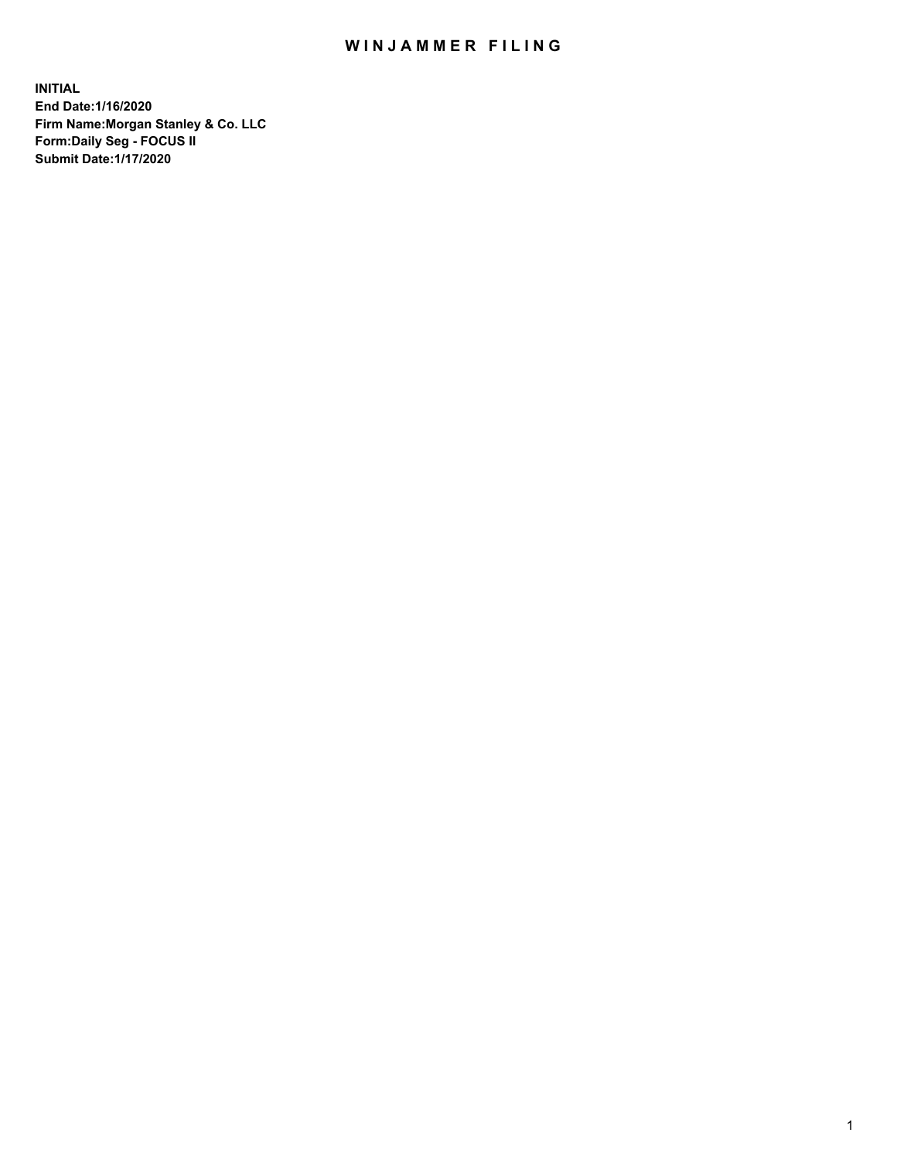## WIN JAMMER FILING

**INITIAL End Date:1/16/2020 Firm Name:Morgan Stanley & Co. LLC Form:Daily Seg - FOCUS II Submit Date:1/17/2020**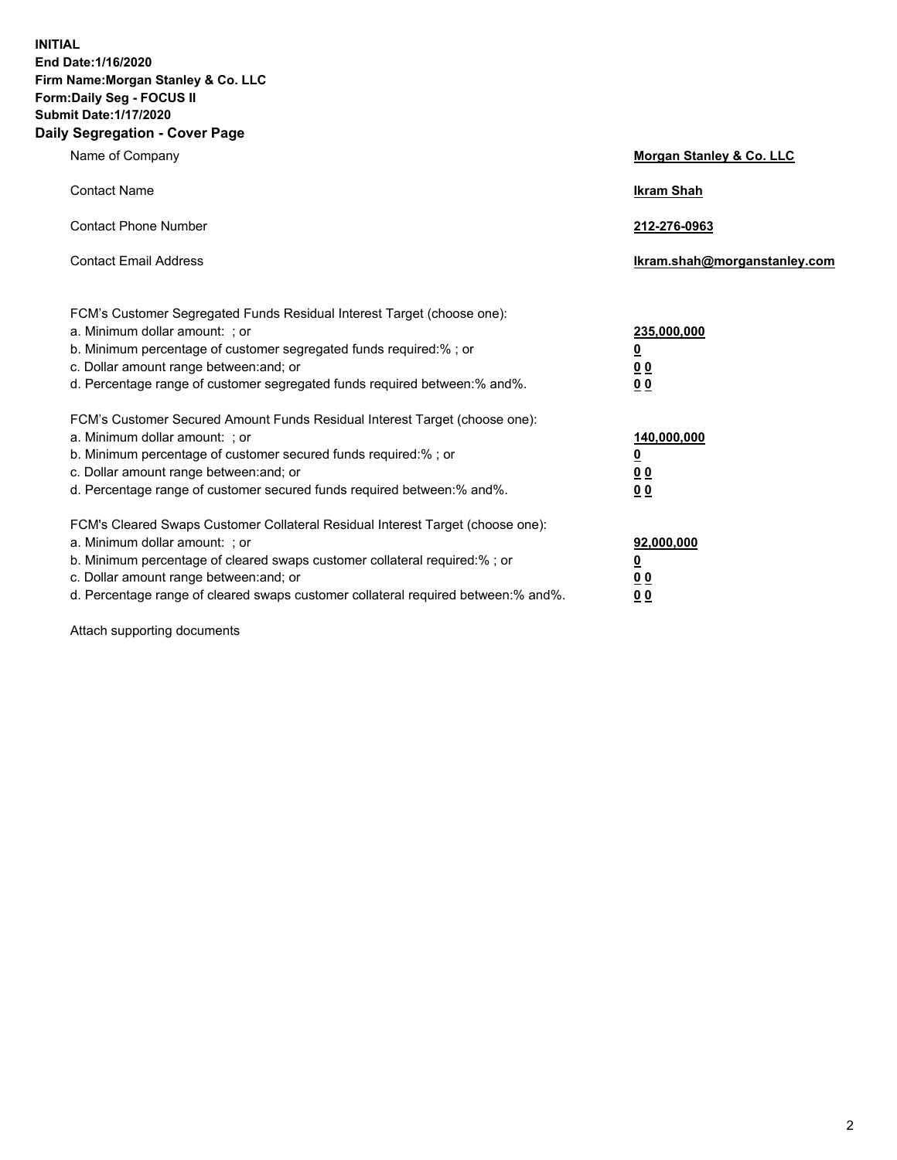**INITIAL End Date:1/16/2020 Firm Name:Morgan Stanley & Co. LLC Form:Daily Seg - FOCUS II Submit Date:1/17/2020 Daily Segregation - Cover Page**

| Name of Company                                                                                                                                                                                                                                                                                                                | Morgan Stanley & Co. LLC                                                     |
|--------------------------------------------------------------------------------------------------------------------------------------------------------------------------------------------------------------------------------------------------------------------------------------------------------------------------------|------------------------------------------------------------------------------|
| <b>Contact Name</b>                                                                                                                                                                                                                                                                                                            | <b>Ikram Shah</b>                                                            |
| <b>Contact Phone Number</b>                                                                                                                                                                                                                                                                                                    | 212-276-0963                                                                 |
| <b>Contact Email Address</b>                                                                                                                                                                                                                                                                                                   | Ikram.shah@morganstanley.com                                                 |
| FCM's Customer Segregated Funds Residual Interest Target (choose one):<br>a. Minimum dollar amount: ; or<br>b. Minimum percentage of customer segregated funds required:%; or<br>c. Dollar amount range between: and; or<br>d. Percentage range of customer segregated funds required between: % and %.                        | 235,000,000<br><u>0</u><br><u>00</u><br>0 Q                                  |
| FCM's Customer Secured Amount Funds Residual Interest Target (choose one):<br>a. Minimum dollar amount: ; or<br>b. Minimum percentage of customer secured funds required:%; or<br>c. Dollar amount range between: and; or<br>d. Percentage range of customer secured funds required between:% and%.                            | 140,000,000<br><u>0</u><br>$\underline{0}$ $\underline{0}$<br>0 <sup>0</sup> |
| FCM's Cleared Swaps Customer Collateral Residual Interest Target (choose one):<br>a. Minimum dollar amount: ; or<br>b. Minimum percentage of cleared swaps customer collateral required:% ; or<br>c. Dollar amount range between: and; or<br>d. Percentage range of cleared swaps customer collateral required between:% and%. | 92,000,000<br><u>0</u><br><u>00</u><br>00                                    |

Attach supporting documents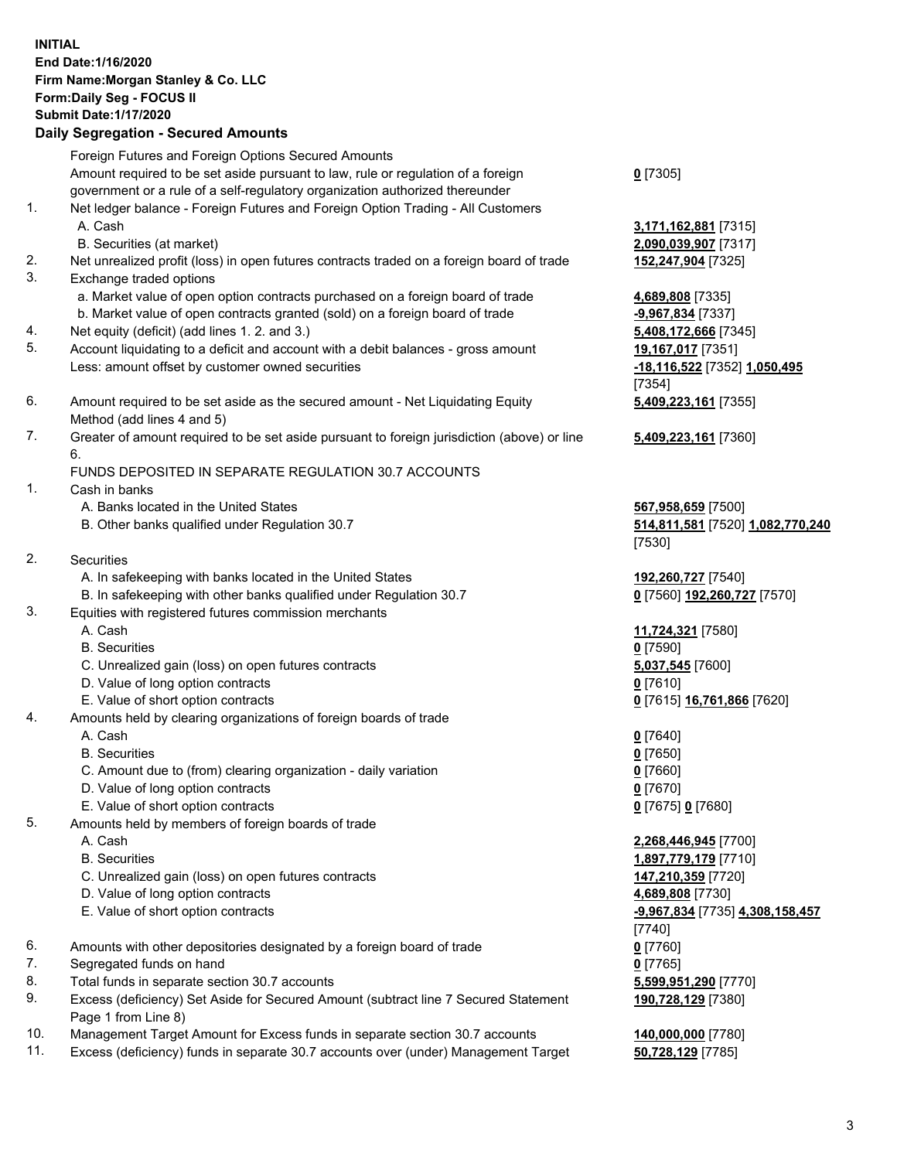## **INITIAL End Date:1/16/2020 Firm Name:Morgan Stanley & Co. LLC Form:Daily Seg - FOCUS II Submit Date:1/17/2020 Daily Segregation - Secured Amounts** Foreign Futures and Foreign Options Secured Amounts Amount required to be set aside pursuant to law, rule or regulation of a foreign government or a rule of a self-regulatory organization authorized thereunder **0** [7305] 1. Net ledger balance - Foreign Futures and Foreign Option Trading - All Customers A. Cash **3,171,162,881** [7315] B. Securities (at market) **2,090,039,907** [7317] 2. Net unrealized profit (loss) in open futures contracts traded on a foreign board of trade **152,247,904** [7325] 3. Exchange traded options a. Market value of open option contracts purchased on a foreign board of trade **4,689,808** [7335] b. Market value of open contracts granted (sold) on a foreign board of trade **-9,967,834** [7337] 4. Net equity (deficit) (add lines 1. 2. and 3.) **5,408,172,666** [7345] 5. Account liquidating to a deficit and account with a debit balances - gross amount **19,167,017** [7351] Less: amount offset by customer owned securities **-18,116,522** [7352] **1,050,495** [7354] 6. Amount required to be set aside as the secured amount - Net Liquidating Equity Method (add lines 4 and 5) **5,409,223,161** [7355] 7. Greater of amount required to be set aside pursuant to foreign jurisdiction (above) or line 6. **5,409,223,161** [7360] FUNDS DEPOSITED IN SEPARATE REGULATION 30.7 ACCOUNTS 1. Cash in banks A. Banks located in the United States **567,958,659** [7500] B. Other banks qualified under Regulation 30.7 **514,811,581** [7520] **1,082,770,240** [7530] 2. Securities A. In safekeeping with banks located in the United States **192,260,727** [7540] B. In safekeeping with other banks qualified under Regulation 30.7 **0** [7560] **192,260,727** [7570] 3. Equities with registered futures commission merchants A. Cash **11,724,321** [7580] B. Securities **0** [7590] C. Unrealized gain (loss) on open futures contracts **5,037,545** [7600] D. Value of long option contracts **0** [7610] E. Value of short option contracts **0** [7615] **16,761,866** [7620] 4. Amounts held by clearing organizations of foreign boards of trade A. Cash **0** [7640] B. Securities **0** [7650] C. Amount due to (from) clearing organization - daily variation **0** [7660] D. Value of long option contracts **0** [7670] E. Value of short option contracts **0** [7675] **0** [7680] 5. Amounts held by members of foreign boards of trade A. Cash **2,268,446,945** [7700] B. Securities **1,897,779,179** [7710] C. Unrealized gain (loss) on open futures contracts **147,210,359** [7720] D. Value of long option contracts **4,689,808** [7730] E. Value of short option contracts **-9,967,834** [7735] **4,308,158,457** [7740]

- 6. Amounts with other depositories designated by a foreign board of trade **0** [7760]
- 7. Segregated funds on hand **0** [7765]
- 8. Total funds in separate section 30.7 accounts **5,599,951,290** [7770]
- 9. Excess (deficiency) Set Aside for Secured Amount (subtract line 7 Secured Statement Page 1 from Line 8)
- 10. Management Target Amount for Excess funds in separate section 30.7 accounts **140,000,000** [7780]
- 11. Excess (deficiency) funds in separate 30.7 accounts over (under) Management Target **50,728,129** [7785]

**190,728,129** [7380]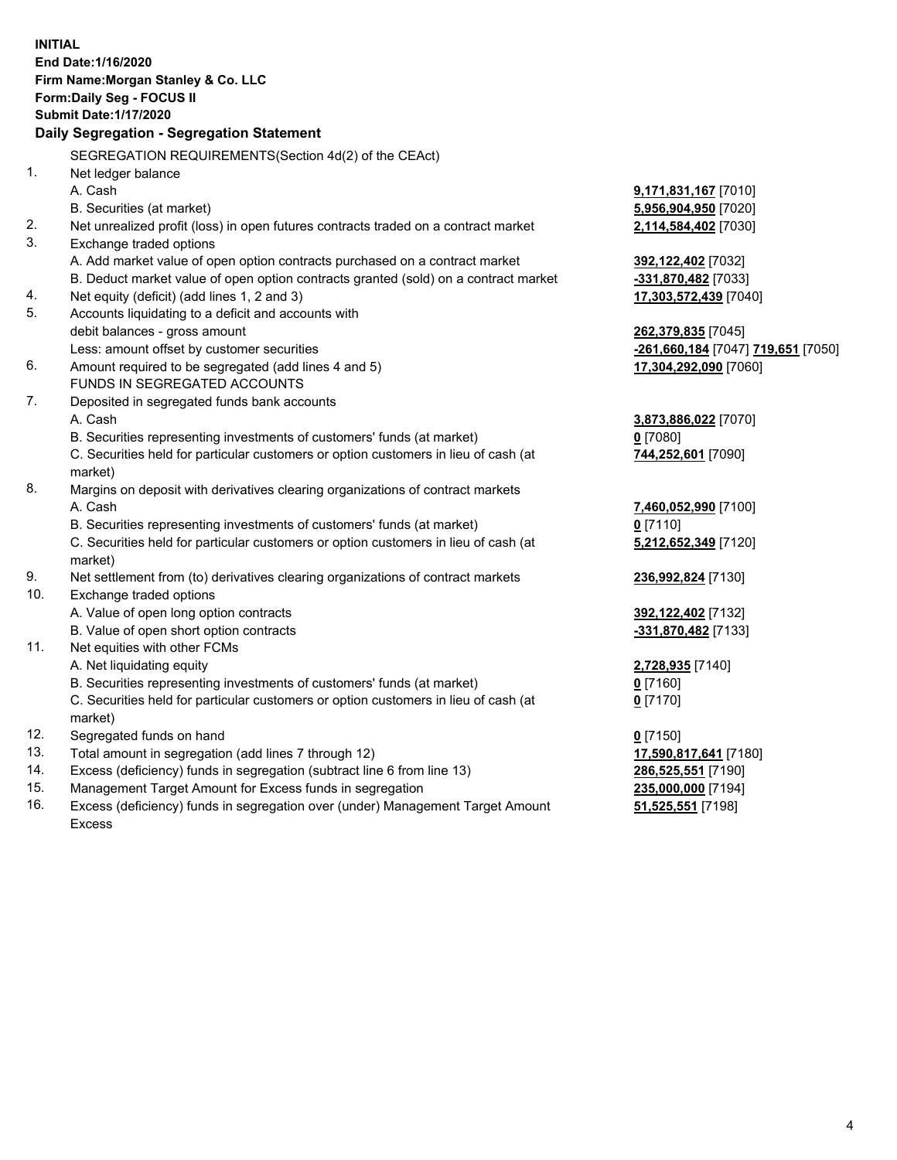|     | <b>INITIAL</b>                                                                      |                                    |
|-----|-------------------------------------------------------------------------------------|------------------------------------|
|     | End Date: 1/16/2020                                                                 |                                    |
|     | Firm Name: Morgan Stanley & Co. LLC                                                 |                                    |
|     | Form: Daily Seg - FOCUS II                                                          |                                    |
|     | <b>Submit Date: 1/17/2020</b>                                                       |                                    |
|     | Daily Segregation - Segregation Statement                                           |                                    |
|     | SEGREGATION REQUIREMENTS(Section 4d(2) of the CEAct)                                |                                    |
| 1.  | Net ledger balance                                                                  |                                    |
|     | A. Cash                                                                             | 9,171,831,167 [7010]               |
|     | B. Securities (at market)                                                           | 5,956,904,950 [7020]               |
| 2.  | Net unrealized profit (loss) in open futures contracts traded on a contract market  | 2,114,584,402 [7030]               |
| 3.  | Exchange traded options                                                             |                                    |
|     | A. Add market value of open option contracts purchased on a contract market         | 392,122,402 [7032]                 |
|     | B. Deduct market value of open option contracts granted (sold) on a contract market | -331,870,482 [7033]                |
| 4.  | Net equity (deficit) (add lines 1, 2 and 3)                                         | 17,303,572,439 [7040]              |
| 5.  | Accounts liquidating to a deficit and accounts with                                 |                                    |
|     | debit balances - gross amount                                                       | 262,379,835 [7045]                 |
|     | Less: amount offset by customer securities                                          | -261,660,184 [7047] 719,651 [7050] |
| 6.  | Amount required to be segregated (add lines 4 and 5)                                | 17,304,292,090 [7060]              |
|     | FUNDS IN SEGREGATED ACCOUNTS                                                        |                                    |
| 7.  | Deposited in segregated funds bank accounts                                         |                                    |
|     | A. Cash                                                                             | 3,873,886,022 [7070]               |
|     | B. Securities representing investments of customers' funds (at market)              | $0$ [7080]                         |
|     | C. Securities held for particular customers or option customers in lieu of cash (at | 744,252,601 [7090]                 |
|     | market)                                                                             |                                    |
| 8.  | Margins on deposit with derivatives clearing organizations of contract markets      |                                    |
|     | A. Cash                                                                             | 7,460,052,990 [7100]               |
|     | B. Securities representing investments of customers' funds (at market)              | $0$ [7110]                         |
|     | C. Securities held for particular customers or option customers in lieu of cash (at | 5,212,652,349 [7120]               |
|     | market)                                                                             |                                    |
| 9.  | Net settlement from (to) derivatives clearing organizations of contract markets     | 236,992,824 [7130]                 |
| 10. | Exchange traded options                                                             |                                    |
|     | A. Value of open long option contracts                                              | 392,122,402 [7132]                 |
|     | B. Value of open short option contracts                                             | -331,870,482 [7133]                |
| 11. | Net equities with other FCMs                                                        |                                    |
|     | A. Net liquidating equity                                                           | 2,728,935 [7140]                   |
|     | B. Securities representing investments of customers' funds (at market)              | $0$ [7160]                         |
|     | C. Securities held for particular customers or option customers in lieu of cash (at | $0$ [7170]                         |
|     | market)                                                                             |                                    |
| 12. | Segregated funds on hand                                                            | $0$ [7150]                         |
| 13. | Total amount in segregation (add lines 7 through 12)                                | 17,590,817,641 [7180]              |
| 14. | Excess (deficiency) funds in segregation (subtract line 6 from line 13)             | 286,525,551 [7190]                 |
| 15. | Management Target Amount for Excess funds in segregation                            | 235,000,000 [7194]                 |
| 16. | Excess (deficiency) funds in segregation over (under) Management Target Amount      | 51,525,551 [7198]                  |

16. Excess (deficiency) funds in segregation over (under) Management Target Amount Excess